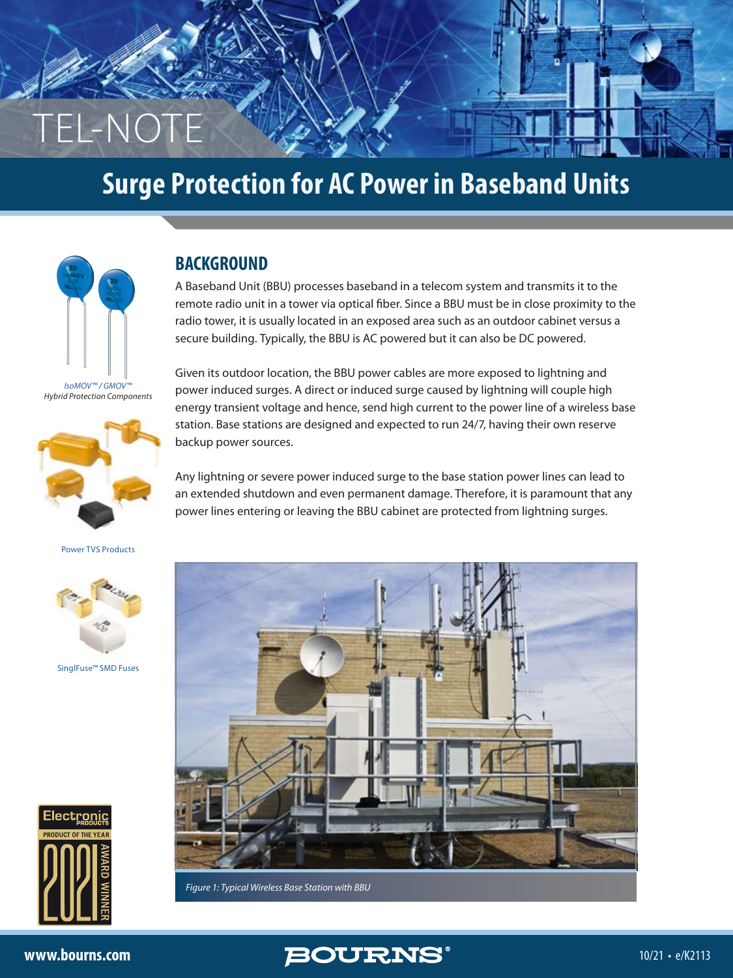# **Surge Protection for AC Power in Baseband Units**



TEL-NOTE

### **BACKGROUND**

A Baseband Unit (BBU) processes baseband in a telecom system and transmits it to the remote radio unit in a tower via optical fiber. Since a BBU must be in close proximity to the radio tower, it is usually located in an exposed area such as an outdoor cabinet versus a secure building. Typically, the BBU is AC powered but it can also be DC powered.

*[IsoMOV™](https://www.bourns.com/products/circuit-protection/isomov) / [GMOV™](https://www.bourns.com/products/circuit-protection/gmov) Hybrid Protection Components*



[Power TVS Products](https://www.bourns.com/products/diodes/power-tvs-diodes)



[SinglFuse™ SMD Fuses](https://www.bourns.com/products/circuit-protection/singlfuse-smd-fuses)



Given its outdoor location, the BBU power cables are more exposed to lightning and power induced surges. A direct or induced surge caused by lightning will couple high energy transient voltage and hence, send high current to the power line of a wireless base station. Base stations are designed and expected to run 24/7, having their own reserve backup power sources.

Any lightning or severe power induced surge to the base station power lines can lead to an extended shutdown and even permanent damage. Therefore, it is paramount that any power lines entering or leaving the BBU cabinet are protected from lightning surges.



*Figure 1: Typical Wireless Base Station with BBU*

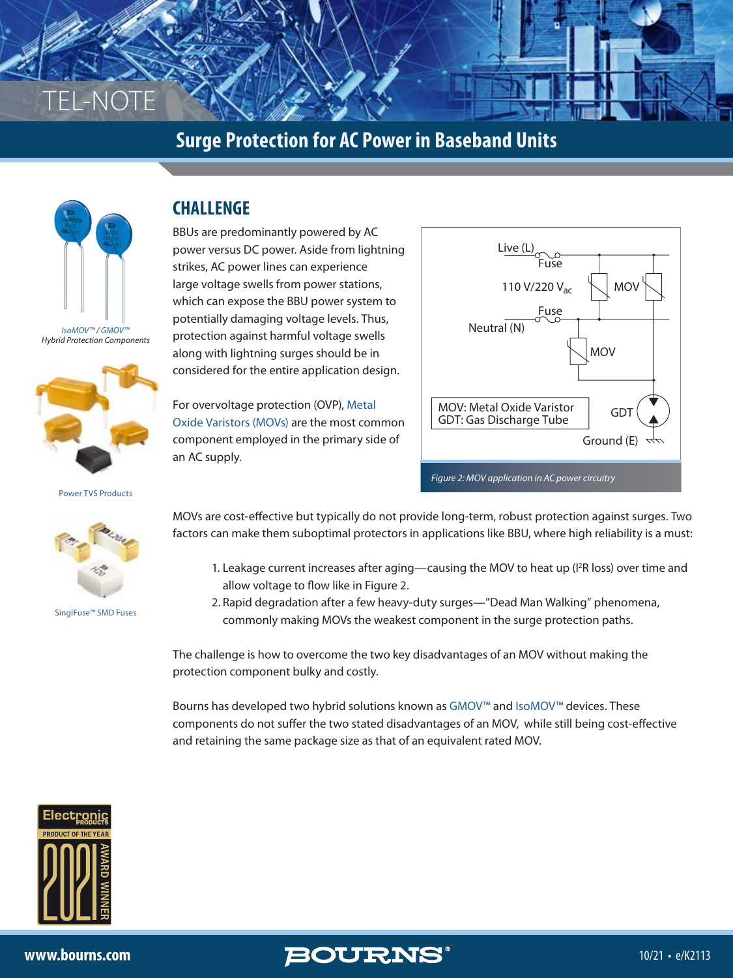



*Hybrid Protection Components*



[Power TVS Products](https://www.bourns.com/products/diodes/power-tvs-diodes)



[SinglFuse™ SMD Fuses](https://www.bourns.com/products/circuit-protection/singlfuse-smd-fuses)

## **CHALLENGE**

BBUs are predominantly powered by AC power versus DC power. Aside from lightning strikes, AC power lines can experience large voltage swells from power stations, which can expose the BBU power system to potentially damaging voltage levels. Thus, protection against harmful voltage swells along with lightning surges should be in considered for the entire application design.

For overvoltage protection (OVP), [Metal](https://www.bourns.com/resources/technical-library/library-documents/varistor-products)  [Oxide Varistors \(MOVs\)](https://www.bourns.com/resources/technical-library/library-documents/varistor-products) are the most common component employed in the primary side of an AC supply.



MOVs are cost-effective but typically do not provide long-term, robust protection against surges. Two factors can make them suboptimal protectors in applications like BBU, where high reliability is a must:

- 1. Leakage current increases after aging—causing the MOV to heat up (I<sup>2</sup>R loss) over time and allow voltage to flow like in Figure 2.
- 2. Rapid degradation after a few heavy-duty surges—"Dead Man Walking" phenomena, commonly making MOVs the weakest component in the surge protection paths.

The challenge is how to overcome the two key disadvantages of an MOV without making the protection component bulky and costly.

Bourns has developed two hybrid solutions known as [GMOV](https://www.bourns.com/resources/technical-library/library-documents/gmov)<sup>™</sup> and [IsoMOV™](https://www.bourns.com/resources/technical-library/library-documents/isomov/) devices. These components do not suffer the two stated disadvantages of an MOV, while still being cost-effective and retaining the same package size as that of an equivalent rated MOV.



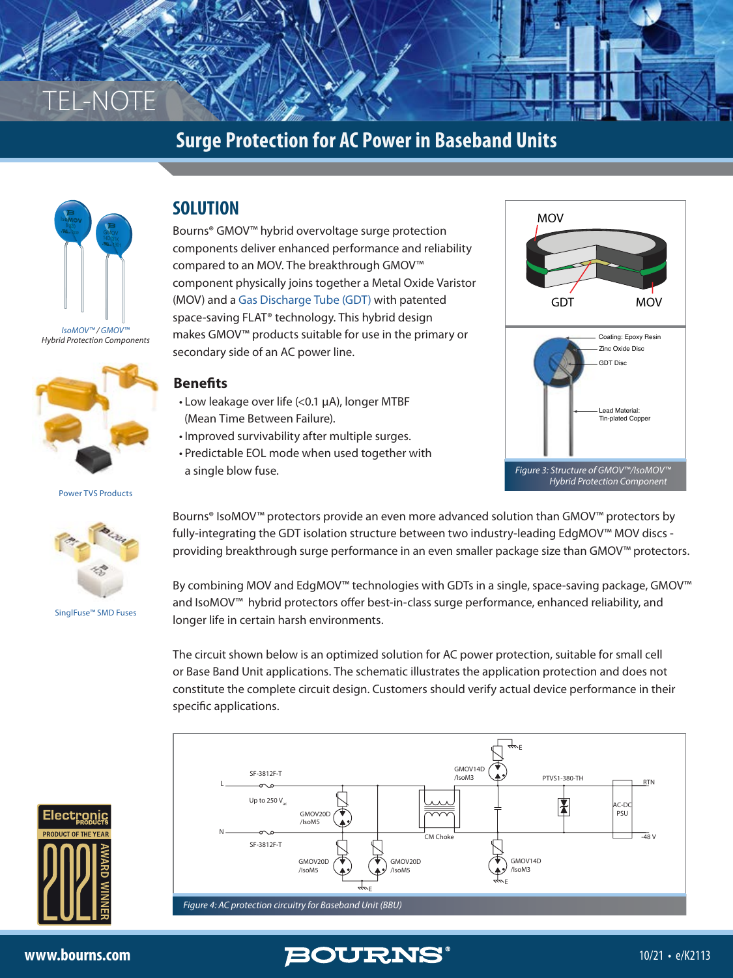



#### *Hybrid Protection Components*



[Power TVS Products](https://www.bourns.com/products/diodes/power-tvs-diodes)



[SinglFuse™ SMD Fuses](https://www.bourns.com/products/circuit-protection/singlfuse-smd-fuses)

# **SOLUTION**

Bourns® GMOV™ hybrid overvoltage surge protection components deliver enhanced performance and reliability compared to an MOV. The breakthrough GMOV™ component physically joins together a Metal Oxide Varistor (MOV) and a [Gas Discharge Tube \(GDT\)](https://www.bourns.com/resources/technical-library/library-documents/gas-discharge-tubes-technical-library) with patented space-saving FLAT® technology. This hybrid design makes GMOV™ products suitable for use in the primary or secondary side of an AC power line.

#### **Benefits**

- Low leakage over life (<0.1 µA), longer MTBF (Mean Time Between Failure).
- Improved survivability after multiple surges.
- Predictable EOL mode when used together with a single blow fuse.



Bourns® IsoMOV™ protectors provide an even more advanced solution than GMOV™ protectors by fully-integrating the GDT isolation structure between two industry-leading EdgMOV™ MOV discs providing breakthrough surge performance in an even smaller package size than GMOV™ protectors.

By combining MOV and EdgMOV™ technologies with GDTs in a single, space-saving package, GMOV™ and IsoMOV™ hybrid protectors offer best-in-class surge performance, enhanced reliability, and longer life in certain harsh environments.

The circuit shown below is an optimized solution for AC power protection, suitable for small cell or Base Band Unit applications. The schematic illustrates the application protection and does not constitute the complete circuit design. Customers should verify actual device performance in their specific applications.



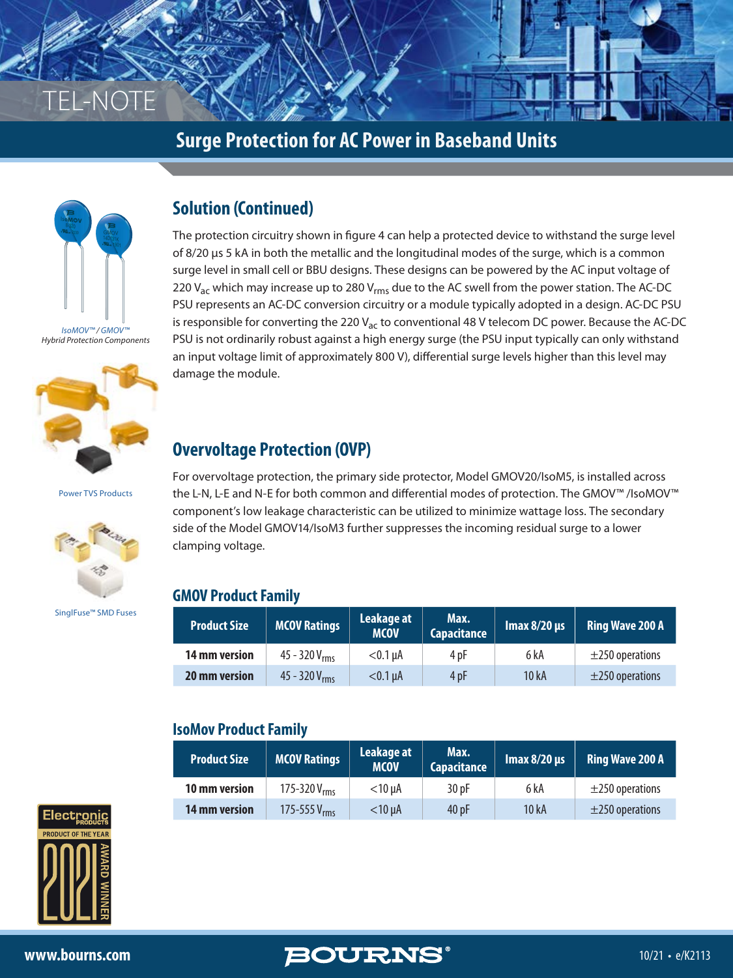



*Hybrid Protection Components*



[Power TVS Products](https://www.bourns.com/products/diodes/power-tvs-diodes)



[SinglFuse™ SMD Fuses](https://www.bourns.com/products/circuit-protection/singlfuse-smd-fuses)

# **Solution (Continued)**

The protection circuitry shown in figure 4 can help a protected device to withstand the surge level of 8/20 µs 5 kA in both the metallic and the longitudinal modes of the surge, which is a common surge level in small cell or BBU designs. These designs can be powered by the AC input voltage of 220  $V_{ac}$  which may increase up to 280  $V_{rms}$  due to the AC swell from the power station. The AC-DC PSU represents an AC-DC conversion circuitry or a module typically adopted in a design. AC-DC PSU is responsible for converting the 220  $V_{ac}$  to conventional 48 V telecom DC power. Because the AC-DC PSU is not ordinarily robust against a high energy surge (the PSU input typically can only withstand an input voltage limit of approximately 800 V), differential surge levels higher than this level may damage the module.

# **Overvoltage Protection (OVP)**

For overvoltage protection, the primary side protector, Model GMOV20/IsoM5, is installed across the L-N, L-E and N-E for both common and differential modes of protection. The GMOV™ /IsoMOV™ component's low leakage characteristic can be utilized to minimize wattage loss. The secondary side of the Model GMOV14/IsoM3 further suppresses the incoming residual surge to a lower clamping voltage.

#### **GMOV Product Family**

| <b>Product Size</b> | <b>MCOV Ratings</b> | Leakage at<br><b>IMCOV</b> | Max.<br>Capacitance | $\mathsf{Imax}\,8/20\,\mu s$ | Ring Wave 200 A      |
|---------------------|---------------------|----------------------------|---------------------|------------------------------|----------------------|
| 14 mm version       | $45 - 320 V_{rms}$  | $<$ 0.1 uA                 | 4 pF                | 6 kA                         | $\pm$ 250 operations |
| 20 mm version       | $45 - 320 V_{rms}$  | $<$ 0.1 $\mu$ A            | 4 pF                | 10 kA                        | $\pm$ 250 operations |

#### **IsoMov Product Family**

| <b>Product Size</b>  | <b>MCOV Ratings</b> | Leakage at<br><b>MCOV</b> | Max.<br>Capacitance | Imax $8/20 \,\mu s$ | <b>Ring Wave 200 A</b> |
|----------------------|---------------------|---------------------------|---------------------|---------------------|------------------------|
| 10 mm version        | 175-320 $V_{rms}$   | $<$ 10 uA                 | 30pF                | 6 kA                | $\pm$ 250 operations   |
| <b>14 mm version</b> | 175-555 $V_{rms}$   | $<$ 10 $\mu$ A            | 40pF                | 10 kA               | $\pm$ 250 operations   |

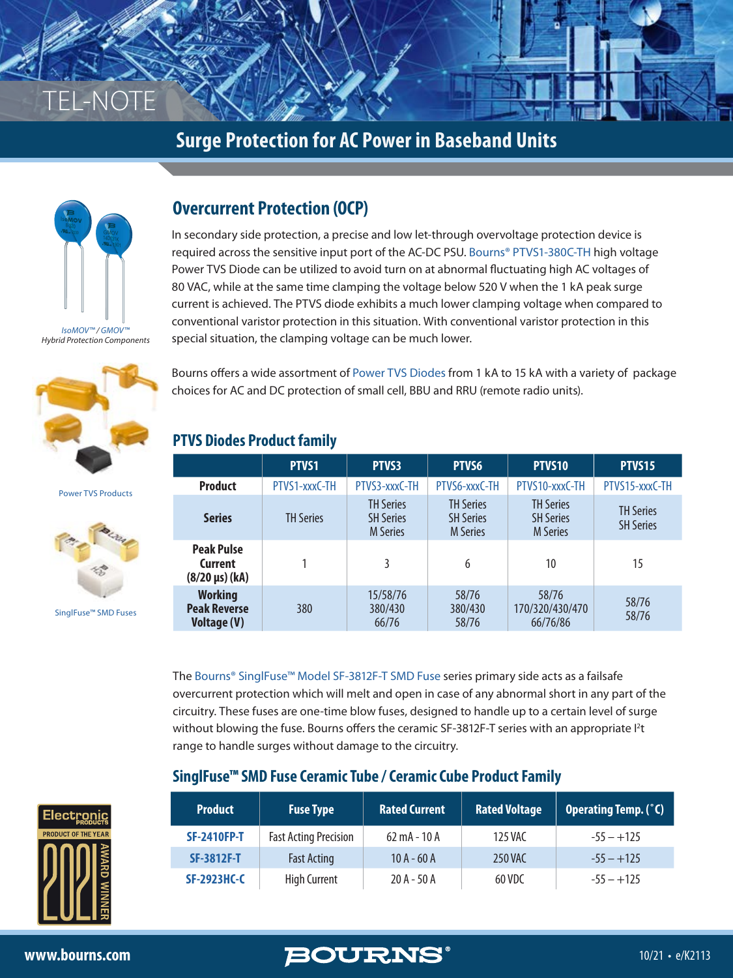



# **Overcurrent Protection (OCP)**

In secondary side protection, a precise and low let-through overvoltage protection device is required across the sensitive input port of the AC-DC PSU. [Bourns® PTVS1-380C-TH](https://www.bourns.com/docs/product-datasheets/ptvs1-xxxc-th.pdf) high voltage Power TVS Diode can be utilized to avoid turn on at abnormal fluctuating high AC voltages of 80 VAC, while at the same time clamping the voltage below 520 V when the 1 kA peak surge current is achieved. The PTVS diode exhibits a much lower clamping voltage when compared to conventional varistor protection in this situation. With conventional varistor protection in this special situation, the clamping voltage can be much lower.

*Hybrid Protection Components*



[Power TVS Products](https://www.bourns.com/products/diodes/power-tvs-diodes)



[SinglFuse™ SMD Fuses](https://www.bourns.com/products/circuit-protection/singlfuse-smd-fuses)

Bourns offers a wide assortment of [Power TVS Diodes](https://www.bourns.com/products/diodes/power-tvs-diodes) from 1 kA to 15 kA with a variety of package choices for AC and DC protection of small cell, BBU and RRU (remote radio units).

#### **PTVS Diodes Product family**

|                                                             | PTVS1            | PTVS3                                                   | PTVS6                                                   | PTVS10                                                  | PTVS15                               |
|-------------------------------------------------------------|------------------|---------------------------------------------------------|---------------------------------------------------------|---------------------------------------------------------|--------------------------------------|
| <b>Product</b>                                              | PTVS1-xxxC-TH    | PTVS3-xxxC-TH                                           | PTVS6-xxxC-TH                                           | PTVS10-xxxC-TH                                          | PTVS15-xxxC-TH                       |
| <b>Series</b>                                               | <b>TH Series</b> | <b>TH Series</b><br><b>SH Series</b><br><b>M</b> Series | <b>TH Series</b><br><b>SH Series</b><br><b>M</b> Series | <b>TH Series</b><br><b>SH Series</b><br><b>M</b> Series | <b>TH Series</b><br><b>SH Series</b> |
| <b>Peak Pulse</b><br>Current<br>$(8/20 \,\mu s)$ (kA)       |                  | 3                                                       | 6                                                       | 10                                                      | 15                                   |
| <b>Working</b><br><b>Peak Reverse</b><br><b>Voltage (V)</b> | 380              | 15/58/76<br>380/430<br>66/76                            | 58/76<br>380/430<br>58/76                               | 58/76<br>170/320/430/470<br>66/76/86                    | 58/76<br>58/76                       |

The [Bourns® SinglFuse™ Model SF-3812F-T SMD Fuse](https://www.bourns.com/docs/product-datasheets/sf-3812f-t.pdf) series primary side acts as a failsafe overcurrent protection which will melt and open in case of any abnormal short in any part of the circuitry. These fuses are one-time blow fuses, designed to handle up to a certain level of surge without blowing the fuse. Bourns offers the ceramic SF-3812F-T series with an appropriate  $l^2t$ range to handle surges without damage to the circuitry.

#### **SinglFuse™ SMD Fuse Ceramic Tube / Ceramic Cube Product Family**

| <b>Product</b>     | <b>Fuse Type</b>             | <b>Rated Current</b>           | <b>Rated Voltage</b> | Operating Temp. (°C) |
|--------------------|------------------------------|--------------------------------|----------------------|----------------------|
| <b>SF-2410FP-T</b> | <b>Fast Acting Precision</b> | $62 \text{ mA} - 10 \text{ A}$ | 125 VAC              | $-55 - +125$         |
| <b>SF-3812F-T</b>  | <b>Fast Acting</b>           | $10A - 60A$                    | <b>250 VAC</b>       | $-55 - +125$         |
| <b>SF-2923HC-C</b> | <b>High Current</b>          | $20A - 50A$                    | 60 VDC               | $-55 - +125$         |